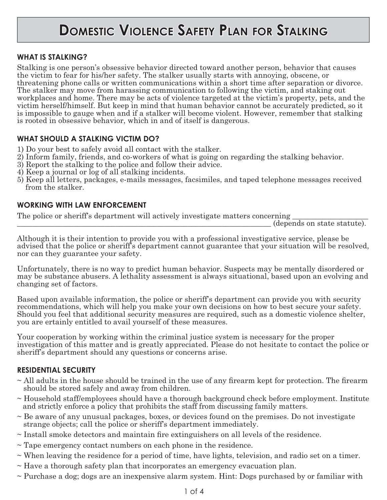# **DOMESTIC VIOLENCE SAFETY PLAN FOR STALKING**

### **WHAT IS STALKING?**

Stalking is one person's obsessive behavior directed toward another person, behavior that causes the victim to fear for his/her safety. The stalker usually starts with annoying, obscene, or threatening phone calls or written communications within a short time after separation or divorce. The stalker may move from harassing communication to following the victim, and staking out workplaces and home. There may be acts of violence targeted at the victim's property, pets, and the victim herself/himself. But keep in mind that human behavior cannot be accurately predicted, so it is impossible to gauge when and if a stalker will become violent. However, remember that stalking is rooted in obsessive behavior, which in and of itself is dangerous.

### **WHAT SHOULD A STALKING VICTIM DO?**

- 1) Do your best to safely avoid all contact with the stalker.
- 2) Inform family, friends, and co-workers of what is going on regarding the stalking behavior.
- 3) Report the stalking to the police and follow their advice.
- 4) Keep a journal or log of all stalking incidents.
- 5) Keep all letters, packages, e-mails messages, facsimiles, and taped telephone messages received from the stalker.

#### **WORKING WITH LAW ENFORCEMENT**

The police or sheriff's department will actively investigate matters concerning

\_\_\_\_\_\_\_\_\_\_\_\_\_\_\_\_\_\_\_\_\_\_\_\_\_\_\_\_\_\_\_\_\_\_\_\_\_\_\_\_\_\_\_\_\_\_\_\_\_\_\_\_\_\_\_\_\_\_\_\_\_\_\_\_\_\_\_ (depends on state statute).

Although it is their intention to provide you with a professional investigative service, please be advised that the police or sheriff's department cannot guarantee that your situation will be resolved, nor can they guarantee your safety.

Unfortunately, there is no way to predict human behavior. Suspects may be mentally disordered or may be substance abusers. A lethality assessment is always situational, based upon an evolving and changing set of factors.

Based upon available information, the police or sheriff's department can provide you with security recommendations, which will help you make your own decisions on how to best secure your safety. Should you feel that additional security measures are required, such as a domestic violence shelter, you are ertainly entitled to avail yourself of these measures.

Your cooperation by working within the criminal justice system is necessary for the proper investigation of this matter and is greatly appreciated. Please do not hesitate to contact the police or sheriff's department should any questions or concerns arise.

#### **RESIDENTIAL SECURITY**

- $\sim$  All adults in the house should be trained in the use of any firearm kept for protection. The firearm should be stored safely and away from children.
- ~ Household staff/employees should have a thorough background check before employment. Institute and strictly enforce a policy that prohibits the staff from discussing family matters.
- $\sim$  Be aware of any unusual packages, boxes, or devices found on the premises. Do not investigate strange objects; call the police or sheriff's department immediately.
- $\sim$  Install smoke detectors and maintain fire extinguishers on all levels of the residence.
- ~ Tape emergency contact numbers on each phone in the residence.
- ~ When leaving the residence for a period of time, have lights, television, and radio set on a timer.
- $\sim$  Have a thorough safety plan that incorporates an emergency evacuation plan.
- ~ Purchase a dog; dogs are an inexpensive alarm system. Hint: Dogs purchased by or familiar with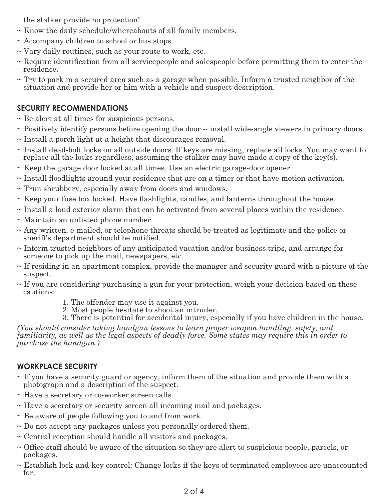the stalker provide no protection!

- $\sim$  Know the daily schedule/whereabouts of all family members.
- $\sim$  Accompany children to school or bus stops.
- $\sim$  Vary daily routines, such as your route to work, etc.
- $\sim$  Require identification from all servicepeople and salespeople before permitting them to enter the residence.
- $\sim$  Try to park in a secured area such as a garage when possible. Inform a trusted neighbor of the situation and provide her or him with a vehicle and suspect description.

## **SECURITY RECOMMENDATIONS**

- $\sim$  Be alert at all times for suspicious persons.
- ~ Positively identify persons before opening the door -- install wide-angle viewers in primary doors.
- $\sim$  Install a porch light at a height that discourages removal.
- $\sim$  Install dead-bolt locks on all outside doors. If keys are missing, replace all locks. You may want to replace all the locks regardless, assuming the stalker may have made a copy of the key(s).
- $\sim$  Keep the garage door locked at all times. Use an electric garage-door opener.
- $\sim$  Install floodlights around your residence that are on a timer or that have motion activation.
- ~ Trim shrubbery, especially away from doors and windows.
- $\sim$  Keep your fuse box locked. Have flashlights, candles, and lanterns throughout the house.
- $\sim$  Install a loud exterior alarm that can be activated from several places within the residence.
- ~ Maintain an unlisted phone number.
- $\sim$  Any written, e-mailed, or telephone threats should be treated as legitimate and the police or sheriff's department should be notified.
- $\sim$  Inform trusted neighbors of any anticipated vacation and/or business trips, and arrange for someone to pick up the mail, newspapers, etc.
- $\sim$  If residing in an apartment complex, provide the manager and security guard with a picture of the suspect.
- $\sim$  If you are considering purchasing a gun for your protection, weigh your decision based on these cautions:
	- 1. The offender may use it against you.
	- 2. Most people hesitate to shoot an intruder.
	- 3. There is potential for accidental injury, especially if you have children in the house.

*(You should consider taking handgun lessons to learn proper weapon handling, safety, and familiarity, as well as the legal aspects of deadly force. Some states may require this in order to purchase the handgun.)*

## **WORKPLACE SECURITY**

- $\sim$  If you have a security guard or agency, inform them of the situation and provide them with a photograph and a description of the suspect.
- ~ Have a secretary or co-worker screen calls.
- ~ Have a secretary or security screen all incoming mail and packages.
- $\sim$  Be aware of people following you to and from work.
- $\sim$  Do not accept any packages unless you personally ordered them.
- $\sim$  Central reception should handle all visitors and packages.
- $\sim$  Office staff should be aware of the situation so they are alert to suspicious people, parcels, or packages.
- $\sim$  Establish lock-and-key control: Change locks if the keys of terminated employees are unaccounted for.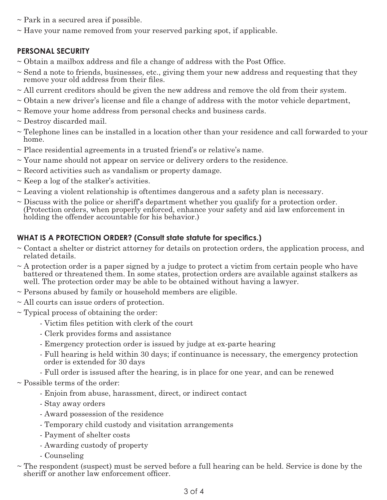- $\sim$  Park in a secured area if possible.
- $\sim$  Have your name removed from your reserved parking spot, if applicable.

## **PERSONAL SECURITY**

- $\sim$  Obtain a mailbox address and file a change of address with the Post Office.
- $\sim$  Send a note to friends, businesses, etc., giving them your new address and requesting that they remove your old address from their files.
- ~ All current creditors should be given the new address and remove the old from their system.
- $\sim$  Obtain a new driver's license and file a change of address with the motor vehicle department,
- ~ Remove your home address from personal checks and business cards.
- ~ Destroy discarded mail.
- ~ Telephone lines can be installed in a location other than your residence and call forwarded to your home.
- ~ Place residential agreements in a trusted friend's or relative's name.
- $\sim$  Your name should not appear on service or delivery orders to the residence.
- $\sim$  Record activities such as vandalism or property damage.
- $\sim$  Keep a log of the stalker's activities.
- ~ Leaving a violent relationship is oftentimes dangerous and a safety plan is necessary.
- ~ Discuss with the police or sheriff's department whether you qualify for a protection order. (Protection orders, when properly enforced, enhance your safety and aid law enforcement in holding the offender accountable for his behavior.)

## WHAT IS A PROTECTION ORDER? (Consult state statute for specifics.)

- ~ Contact a shelter or district attorney for details on protection orders, the application process, and related details.
- $\sim$  A protection order is a paper signed by a judge to protect a victim from certain people who have battered or threatened them. In some states, protection orders are available against stalkers as well. The protection order may be able to be obtained without having a lawyer.
- ~ Persons abused by family or household members are eligible.
- ~ All courts can issue orders of protection.
- $\sim$  Typical process of obtaining the order:
	- Victim files petition with clerk of the court
	- Clerk provides forms and assistance
	- Emergency protection order is issued by judge at ex-parte hearing
	- Full hearing is held within 30 days; if continuance is necessary, the emergency protection order is extended for 30 days
	- Full order is issused after the hearing, is in place for one year, and can be renewed

~ Possible terms of the order:

- Enjoin from abuse, harassment, direct, or indirect contact
- Stay away orders
- Award possession of the residence
- Temporary child custody and visitation arrangements
- Payment of shelter costs
- Awarding custody of property
- Counseling
- $\sim$  The respondent (suspect) must be served before a full hearing can be held. Service is done by the sheriff or another law enforcement officer.